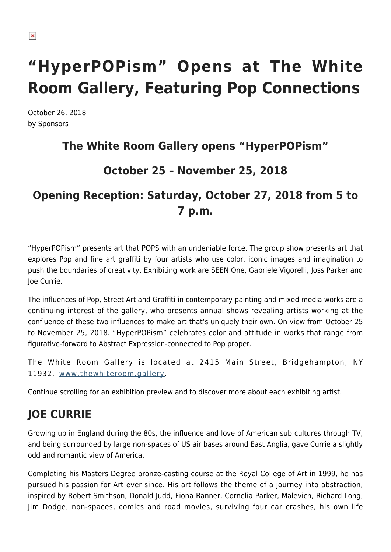# **"HyperPOPism" Opens at The White Room Gallery, Featuring Pop Connections**

October 26, 2018 by Sponsors

### **The White Room Gallery opens "HyperPOPism"**

### **October 25 – November 25, 2018**

# **Opening Reception: Saturday, October 27, 2018 from 5 to 7 p.m.**

"HyperPOPism" presents art that POPS with an undeniable force. The group show presents art that explores Pop and fine art graffiti by four artists who use color, iconic images and imagination to push the boundaries of creativity. Exhibiting work are SEEN One, Gabriele Vigorelli, Joss Parker and Joe Currie.

The influences of Pop, Street Art and Graffiti in contemporary painting and mixed media works are a continuing interest of the gallery, who presents annual shows revealing artists working at the confluence of these two influences to make art that's uniquely their own. On view from October 25 to November 25, 2018. "HyperPOPism" celebrates color and attitude in works that range from figurative-forward to Abstract Expression-connected to Pop proper.

The White Room Gallery is located at 2415 Main Street, Bridgehampton, NY 11932. [www.thewhiteroom.gallery.](http://www.thewhiteroom.gallery/)

Continue scrolling for an exhibition preview and to discover more about each exhibiting artist.

# **JOE CURRIE**

Growing up in England during the 80s, the influence and love of American sub cultures through TV, and being surrounded by large non-spaces of US air bases around East Anglia, gave Currie a slightly odd and romantic view of America.

Completing his Masters Degree bronze-casting course at the Royal College of Art in 1999, he has pursued his passion for Art ever since. His art follows the theme of a journey into abstraction, inspired by Robert Smithson, Donald Judd, Fiona Banner, Cornelia Parker, Malevich, Richard Long, Jim Dodge, non-spaces, comics and road movies, surviving four car crashes, his own life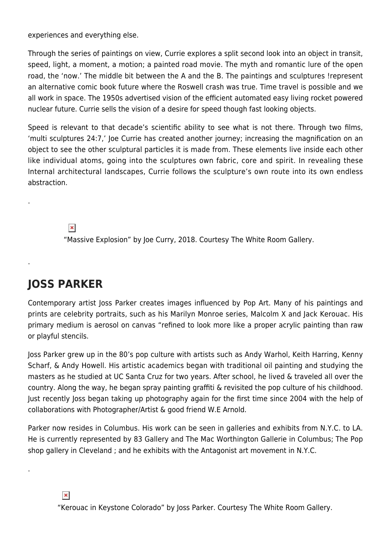experiences and everything else.

Through the series of paintings on view, Currie explores a split second look into an object in transit, speed, light, a moment, a motion; a painted road movie. The myth and romantic lure of the open road, the 'now.' The middle bit between the A and the B. The paintings and sculptures !represent an alternative comic book future where the Roswell crash was true. Time travel is possible and we all work in space. The 1950s advertised vision of the efficient automated easy living rocket powered nuclear future. Currie sells the vision of a desire for speed though fast looking objects.

Speed is relevant to that decade's scientific ability to see what is not there. Through two films, 'multi sculptures 24:7,' Joe Currie has created another journey; increasing the magnification on an object to see the other sculptural particles it is made from. These elements live inside each other like individual atoms, going into the sculptures own fabric, core and spirit. In revealing these Internal architectural landscapes, Currie follows the sculpture's own route into its own endless abstraction.

 $\pmb{\times}$ 

.

.

.

"Massive Explosion" by Joe Curry, 2018. Courtesy The White Room Gallery.

# **JOSS PARKER**

Contemporary artist Joss Parker creates images influenced by Pop Art. Many of his paintings and prints are celebrity portraits, such as his Marilyn Monroe series, Malcolm X and Jack Kerouac. His primary medium is aerosol on canvas "refined to look more like a proper acrylic painting than raw or playful stencils.

Joss Parker grew up in the 80's pop culture with artists such as Andy Warhol, Keith Harring, Kenny Scharf, & Andy Howell. His artistic academics began with traditional oil painting and studying the masters as he studied at UC Santa Cruz for two years. After school, he lived & traveled all over the country. Along the way, he began spray painting graffiti & revisited the pop culture of his childhood. Just recently Joss began taking up photography again for the first time since 2004 with the help of collaborations with Photographer/Artist & good friend W.E Arnold.

Parker now resides in Columbus. His work can be seen in galleries and exhibits from N.Y.C. to LA. He is currently represented by 83 Gallery and The Mac Worthington Gallerie in Columbus; The Pop shop gallery in Cleveland ; and he exhibits with the Antagonist art movement in N.Y.C.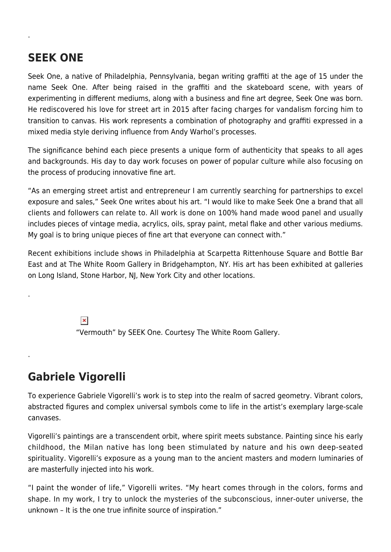### **SEEK ONE**

.

.

.

Seek One, a native of Philadelphia, Pennsylvania, began writing graffiti at the age of 15 under the name Seek One. After being raised in the graffiti and the skateboard scene, with years of experimenting in different mediums, along with a business and fine art degree, Seek One was born. He rediscovered his love for street art in 2015 after facing charges for vandalism forcing him to transition to canvas. His work represents a combination of photography and graffiti expressed in a mixed media style deriving influence from Andy Warhol's processes.

The significance behind each piece presents a unique form of authenticity that speaks to all ages and backgrounds. His day to day work focuses on power of popular culture while also focusing on the process of producing innovative fine art.

"As an emerging street artist and entrepreneur I am currently searching for partnerships to excel exposure and sales," Seek One writes about his art. "I would like to make Seek One a brand that all clients and followers can relate to. All work is done on 100% hand made wood panel and usually includes pieces of vintage media, acrylics, oils, spray paint, metal flake and other various mediums. My goal is to bring unique pieces of fine art that everyone can connect with."

Recent exhibitions include shows in Philadelphia at Scarpetta Rittenhouse Square and Bottle Bar East and at The White Room Gallery in Bridgehampton, NY. His art has been exhibited at galleries on Long Island, Stone Harbor, NJ, New York City and other locations.

> $\pmb{\times}$ "Vermouth" by SEEK One. Courtesy The White Room Gallery.

### **Gabriele Vigorelli**

To experience Gabriele Vigorelli's work is to step into the realm of sacred geometry. Vibrant colors, abstracted figures and complex universal symbols come to life in the artist's exemplary large-scale canvases.

Vigorelli's paintings are a transcendent orbit, where spirit meets substance. Painting since his early childhood, the Milan native has long been stimulated by nature and his own deep-seated spirituality. Vigorelli's exposure as a young man to the ancient masters and modern luminaries of are masterfully injected into his work.

"I paint the wonder of life," Vigorelli writes. "My heart comes through in the colors, forms and shape. In my work, I try to unlock the mysteries of the subconscious, inner-outer universe, the unknown – It is the one true infinite source of inspiration."